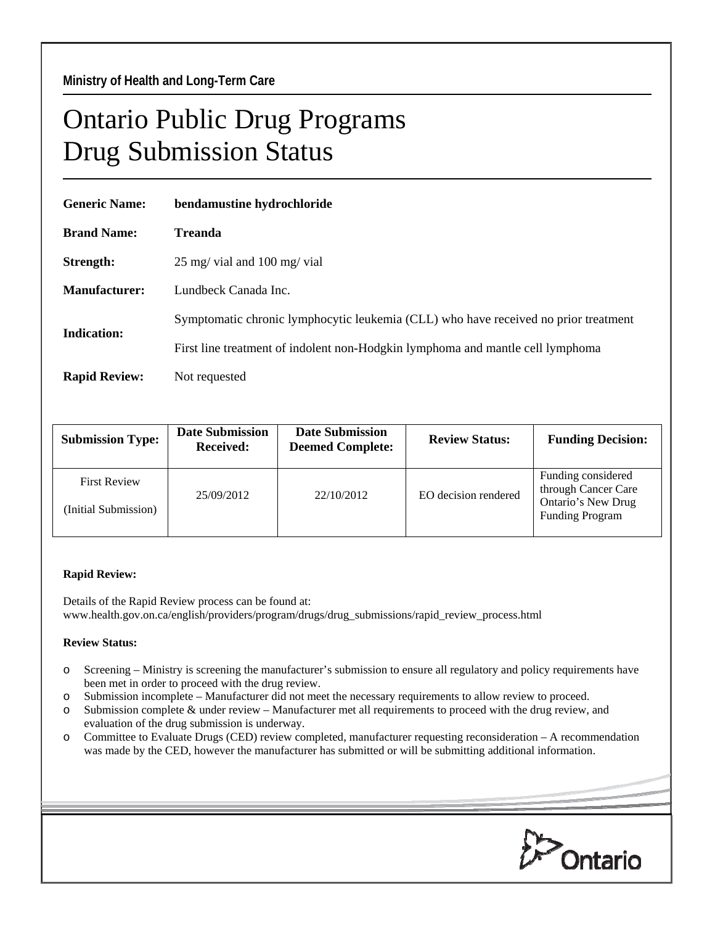## Ontario Public Drug Programs Drug Submission Status

| <b>Generic Name:</b> | bendamustine hydrochloride                                                          |  |  |  |
|----------------------|-------------------------------------------------------------------------------------|--|--|--|
| <b>Brand Name:</b>   | <b>Treanda</b>                                                                      |  |  |  |
| Strength:            | $25 \text{ mg}$ vial and $100 \text{ mg}$ vial                                      |  |  |  |
| <b>Manufacturer:</b> | Lundbeck Canada Inc.                                                                |  |  |  |
| Indication:          | Symptomatic chronic lymphocytic leukemia (CLL) who have received no prior treatment |  |  |  |
|                      | First line treatment of indolent non-Hodgkin lymphoma and mantle cell lymphoma      |  |  |  |
| <b>Rapid Review:</b> | Not requested                                                                       |  |  |  |

| <b>Submission Type:</b>                     | <b>Date Submission</b><br><b>Received:</b> | <b>Date Submission</b><br><b>Deemed Complete:</b> | <b>Review Status:</b> | <b>Funding Decision:</b>                                                                  |
|---------------------------------------------|--------------------------------------------|---------------------------------------------------|-----------------------|-------------------------------------------------------------------------------------------|
| <b>First Review</b><br>(Initial Submission) | 25/09/2012                                 | 22/10/2012                                        | EO decision rendered  | Funding considered<br>through Cancer Care<br>Ontario's New Drug<br><b>Funding Program</b> |

## **Rapid Review:**

Details of the Rapid Review process can be found at: www.health.gov.on.ca/english/providers/program/drugs/drug\_submissions/rapid\_review\_process.html

## **Review Status:**

- o Screening Ministry is screening the manufacturer's submission to ensure all regulatory and policy requirements have been met in order to proceed with the drug review.
- o Submission incomplete Manufacturer did not meet the necessary requirements to allow review to proceed.
- o Submission complete & under review Manufacturer met all requirements to proceed with the drug review, and evaluation of the drug submission is underway.
- o Committee to Evaluate Drugs (CED) review completed, manufacturer requesting reconsideration A recommendation was made by the CED, however the manufacturer has submitted or will be submitting additional information.